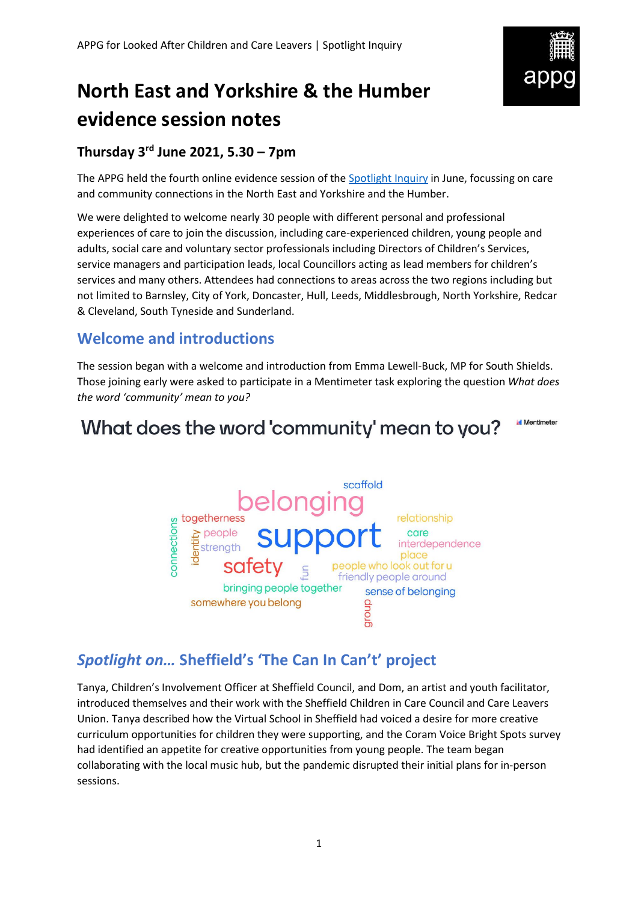

# **North East and Yorkshire & the Humber evidence session notes**

### **Thursday 3rd June 2021, 5.30 – 7pm**

The APPG held the fourth online evidence session of th[e Spotlight Inquiry](https://becomecharity.org.uk/improving-the-care-system/appg/spotlight-inquiry/) in June, focussing on care and community connections in the North East and Yorkshire and the Humber.

We were delighted to welcome nearly 30 people with different personal and professional experiences of care to join the discussion, including care-experienced children, young people and adults, social care and voluntary sector professionals including Directors of Children's Services, service managers and participation leads, local Councillors acting as lead members for children's services and many others. Attendees had connections to areas across the two regions including but not limited to Barnsley, City of York, Doncaster, Hull, Leeds, Middlesbrough, North Yorkshire, Redcar & Cleveland, South Tyneside and Sunderland.

### **Welcome and introductions**

The session began with a welcome and introduction from Emma Lewell-Buck, MP for South Shields. Those joining early were asked to participate in a Mentimeter task exploring the question *What does the word 'community' mean to you?*

#### **Mentimeter** What does the word 'community' mean to you?



### *Spotlight on…* **Sheffield's 'The Can In Can't' project**

Tanya, Children's Involvement Officer at Sheffield Council, and Dom, an artist and youth facilitator, introduced themselves and their work with the Sheffield Children in Care Council and Care Leavers Union. Tanya described how the Virtual School in Sheffield had voiced a desire for more creative curriculum opportunities for children they were supporting, and the Coram Voice Bright Spots survey had identified an appetite for creative opportunities from young people. The team began collaborating with the local music hub, but the pandemic disrupted their initial plans for in-person sessions.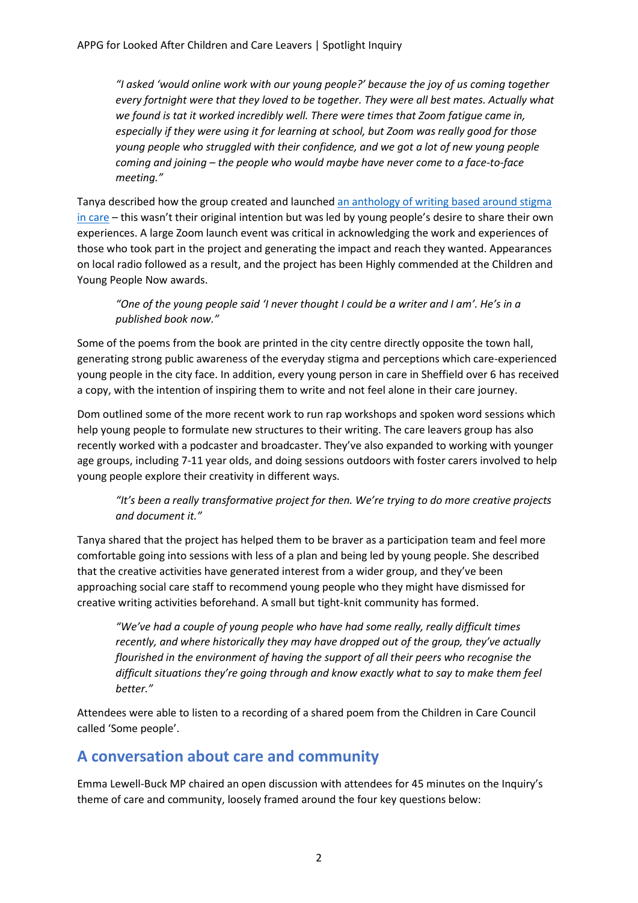*"I asked 'would online work with our young people?' because the joy of us coming together every fortnight were that they loved to be together. They were all best mates. Actually what we found is tat it worked incredibly well. There were times that Zoom fatigue came in, especially if they were using it for learning at school, but Zoom was really good for those young people who struggled with their confidence, and we got a lot of new young people coming and joining – the people who would maybe have never come to a face-to-face meeting."*

Tanya described how the group created and launched [an anthology of writing based around stigma](https://drive.google.com/file/d/1VaeomaksZmFiKhCG_06mv_ygeCGwCzYJ/view) [in care](https://drive.google.com/file/d/1VaeomaksZmFiKhCG_06mv_ygeCGwCzYJ/view) – this wasn't their original intention but was led by young people's desire to share their own experiences. A large Zoom launch event was critical in acknowledging the work and experiences of those who took part in the project and generating the impact and reach they wanted. Appearances on local radio followed as a result, and the project has been Highly commended at the Children and Young People Now awards.

#### *"One of the young people said 'I never thought I could be a writer and I am'. He's in a published book now."*

Some of the poems from the book are printed in the city centre directly opposite the town hall, generating strong public awareness of the everyday stigma and perceptions which care-experienced young people in the city face. In addition, every young person in care in Sheffield over 6 has received a copy, with the intention of inspiring them to write and not feel alone in their care journey.

Dom outlined some of the more recent work to run rap workshops and spoken word sessions which help young people to formulate new structures to their writing. The care leavers group has also recently worked with a podcaster and broadcaster. They've also expanded to working with younger age groups, including 7-11 year olds, and doing sessions outdoors with foster carers involved to help young people explore their creativity in different ways.

#### *"It's been a really transformative project for then. We're trying to do more creative projects and document it."*

Tanya shared that the project has helped them to be braver as a participation team and feel more comfortable going into sessions with less of a plan and being led by young people. She described that the creative activities have generated interest from a wider group, and they've been approaching social care staff to recommend young people who they might have dismissed for creative writing activities beforehand. A small but tight-knit community has formed.

*"We've had a couple of young people who have had some really, really difficult times recently, and where historically they may have dropped out of the group, they've actually flourished in the environment of having the support of all their peers who recognise the difficult situations they're going through and know exactly what to say to make them feel better."*

Attendees were able to listen to a recording of a shared poem from the Children in Care Council called 'Some people'.

### **A conversation about care and community**

Emma Lewell-Buck MP chaired an open discussion with attendees for 45 minutes on the Inquiry's theme of care and community, loosely framed around the four key questions below: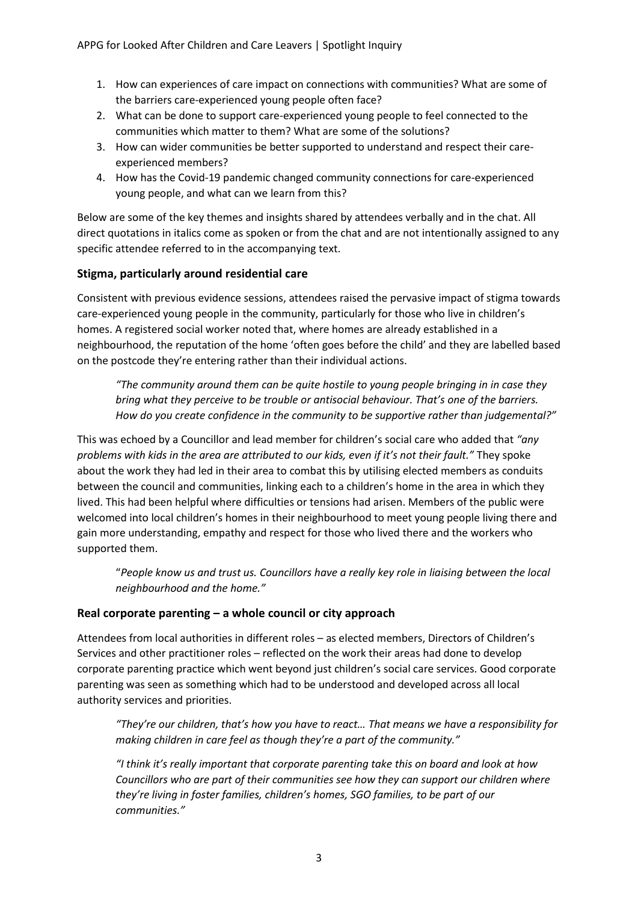- 1. How can experiences of care impact on connections with communities? What are some of the barriers care-experienced young people often face?
- 2. What can be done to support care-experienced young people to feel connected to the communities which matter to them? What are some of the solutions?
- 3. How can wider communities be better supported to understand and respect their careexperienced members?
- 4. How has the Covid-19 pandemic changed community connections for care-experienced young people, and what can we learn from this?

Below are some of the key themes and insights shared by attendees verbally and in the chat. All direct quotations in italics come as spoken or from the chat and are not intentionally assigned to any specific attendee referred to in the accompanying text.

#### **Stigma, particularly around residential care**

Consistent with previous evidence sessions, attendees raised the pervasive impact of stigma towards care-experienced young people in the community, particularly for those who live in children's homes. A registered social worker noted that, where homes are already established in a neighbourhood, the reputation of the home 'often goes before the child' and they are labelled based on the postcode they're entering rather than their individual actions.

*"The community around them can be quite hostile to young people bringing in in case they bring what they perceive to be trouble or antisocial behaviour. That's one of the barriers. How do you create confidence in the community to be supportive rather than judgemental?"*

This was echoed by a Councillor and lead member for children's social care who added that *"any problems with kids in the area are attributed to our kids, even if it's not their fault."* They spoke about the work they had led in their area to combat this by utilising elected members as conduits between the council and communities, linking each to a children's home in the area in which they lived. This had been helpful where difficulties or tensions had arisen. Members of the public were welcomed into local children's homes in their neighbourhood to meet young people living there and gain more understanding, empathy and respect for those who lived there and the workers who supported them.

"*People know us and trust us. Councillors have a really key role in liaising between the local neighbourhood and the home."*

#### **Real corporate parenting – a whole council or city approach**

Attendees from local authorities in different roles – as elected members, Directors of Children's Services and other practitioner roles – reflected on the work their areas had done to develop corporate parenting practice which went beyond just children's social care services. Good corporate parenting was seen as something which had to be understood and developed across all local authority services and priorities.

*"They're our children, that's how you have to react… That means we have a responsibility for making children in care feel as though they're a part of the community."*

*"I think it's really important that corporate parenting take this on board and look at how Councillors who are part of their communities see how they can support our children where they're living in foster families, children's homes, SGO families, to be part of our communities."*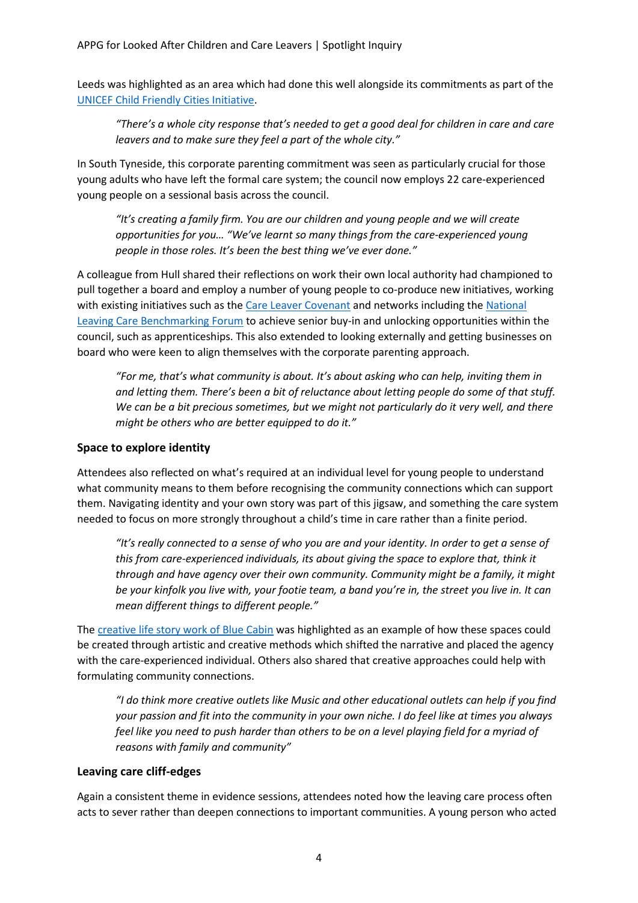Leeds was highlighted as an area which had done this well alongside its commitments as part of the [UNICEF Child Friendly Cities Initiative.](https://childfriendlycities.org/)

*"There's a whole city response that's needed to get a good deal for children in care and care leavers and to make sure they feel a part of the whole city."*

In South Tyneside, this corporate parenting commitment was seen as particularly crucial for those young adults who have left the formal care system; the council now employs 22 care-experienced young people on a sessional basis across the council.

*"It's creating a family firm. You are our children and young people and we will create opportunities for you… "We've learnt so many things from the care-experienced young people in those roles. It's been the best thing we've ever done."*

A colleague from Hull shared their reflections on work their own local authority had championed to pull together a board and employ a number of young people to co-produce new initiatives, working with existing initiatives such as the [Care Leaver Covenant](https://mycovenant.org.uk/) and networks including th[e National](https://www.catch-22.org.uk/national-leaving-care-benchmarking-forum/)  [Leaving Care Benchmarking Forum](https://www.catch-22.org.uk/national-leaving-care-benchmarking-forum/) to achieve senior buy-in and unlocking opportunities within the council, such as apprenticeships. This also extended to looking externally and getting businesses on board who were keen to align themselves with the corporate parenting approach.

*"For me, that's what community is about. It's about asking who can help, inviting them in and letting them. There's been a bit of reluctance about letting people do some of that stuff. We can be a bit precious sometimes, but we might not particularly do it very well, and there might be others who are better equipped to do it."*

#### **Space to explore identity**

Attendees also reflected on what's required at an individual level for young people to understand what community means to them before recognising the community connections which can support them. Navigating identity and your own story was part of this jigsaw, and something the care system needed to focus on more strongly throughout a child's time in care rather than a finite period.

*"It's really connected to a sense of who you are and your identity. In order to get a sense of this from care-experienced individuals, its about giving the space to explore that, think it through and have agency over their own community. Community might be a family, it might be your kinfolk you live with, your footie team, a band you're in, the street you live in. It can mean different things to different people."* 

The [creative life story work of Blue Cabin](https://wearebluecabin.com/creative-life-story-work) was highlighted as an example of how these spaces could be created through artistic and creative methods which shifted the narrative and placed the agency with the care-experienced individual. Others also shared that creative approaches could help with formulating community connections.

*"I do think more creative outlets like Music and other educational outlets can help if you find your passion and fit into the community in your own niche. I do feel like at times you always*  feel like you need to push harder than others to be on a level playing field for a myriad of *reasons with family and community"*

#### **Leaving care cliff-edges**

Again a consistent theme in evidence sessions, attendees noted how the leaving care process often acts to sever rather than deepen connections to important communities. A young person who acted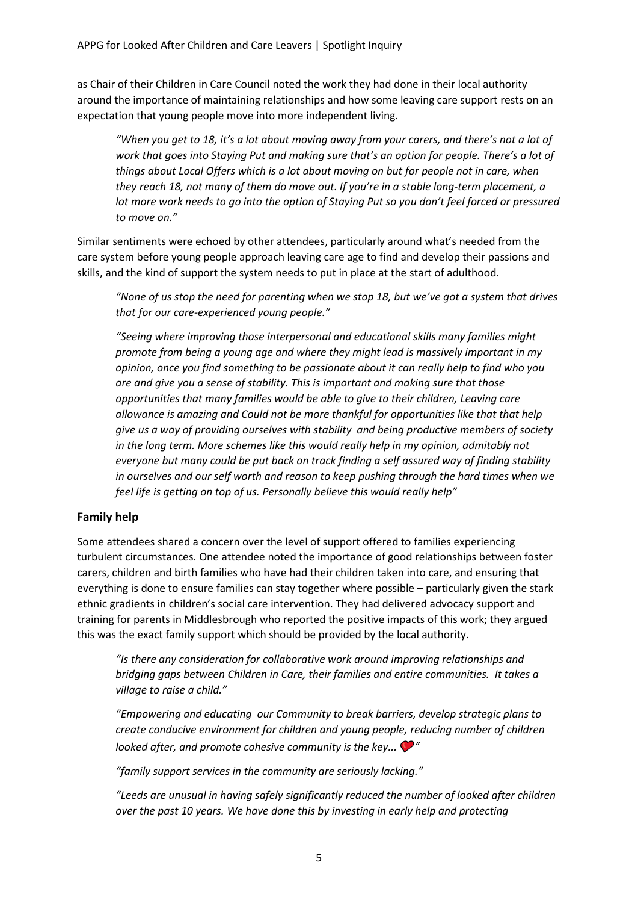as Chair of their Children in Care Council noted the work they had done in their local authority around the importance of maintaining relationships and how some leaving care support rests on an expectation that young people move into more independent living.

*"When you get to 18, it's a lot about moving away from your carers, and there's not a lot of work that goes into Staying Put and making sure that's an option for people. There's a lot of things about Local Offers which is a lot about moving on but for people not in care, when they reach 18, not many of them do move out. If you're in a stable long-term placement, a lot more work needs to go into the option of Staying Put so you don't feel forced or pressured to move on."*

Similar sentiments were echoed by other attendees, particularly around what's needed from the care system before young people approach leaving care age to find and develop their passions and skills, and the kind of support the system needs to put in place at the start of adulthood.

*"None of us stop the need for parenting when we stop 18, but we've got a system that drives that for our care-experienced young people."*

*"Seeing where improving those interpersonal and educational skills many families might promote from being a young age and where they might lead is massively important in my opinion, once you find something to be passionate about it can really help to find who you are and give you a sense of stability. This is important and making sure that those opportunities that many families would be able to give to their children, Leaving care allowance is amazing and Could not be more thankful for opportunities like that that help give us a way of providing ourselves with stability and being productive members of society in the long term. More schemes like this would really help in my opinion, admitably not everyone but many could be put back on track finding a self assured way of finding stability in ourselves and our self worth and reason to keep pushing through the hard times when we feel life is getting on top of us. Personally believe this would really help"*

#### **Family help**

Some attendees shared a concern over the level of support offered to families experiencing turbulent circumstances. One attendee noted the importance of good relationships between foster carers, children and birth families who have had their children taken into care, and ensuring that everything is done to ensure families can stay together where possible – particularly given the stark ethnic gradients in children's social care intervention. They had delivered advocacy support and training for parents in Middlesbrough who reported the positive impacts of this work; they argued this was the exact family support which should be provided by the local authority.

*"Is there any consideration for collaborative work around improving relationships and bridging gaps between Children in Care, their families and entire communities. It takes a village to raise a child."*

*"Empowering and educating our Community to break barriers, develop strategic plans to create conducive environment for children and young people, reducing number of children looked after, and promote cohesive community is the key...*  $\bullet$ <sup>"</sup>

*"family support services in the community are seriously lacking."*

*"Leeds are unusual in having safely significantly reduced the number of looked after children over the past 10 years. We have done this by investing in early help and protecting*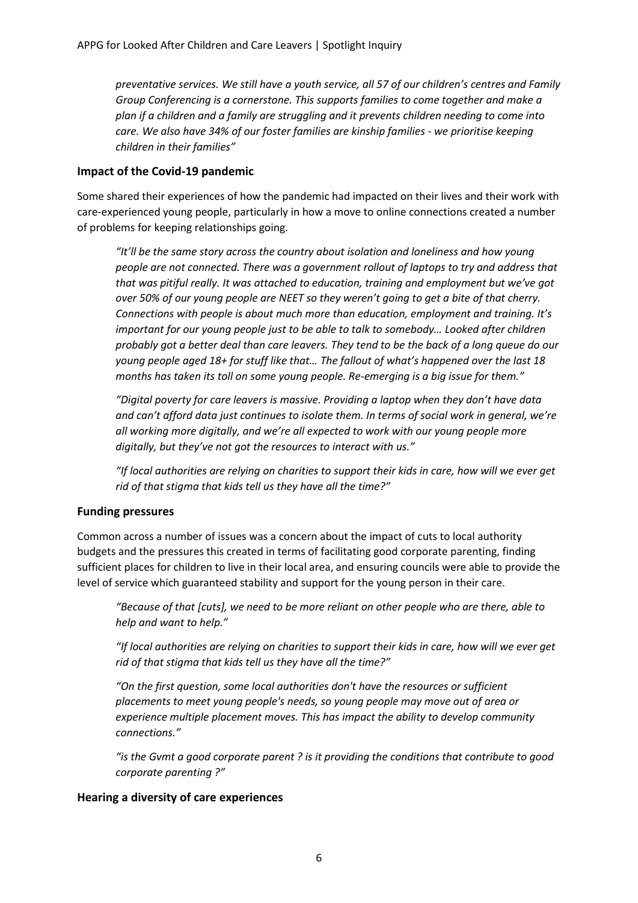*preventative services. We still have a youth service, all 57 of our children's centres and Family Group Conferencing is a cornerstone. This supports families to come together and make a plan if a children and a family are struggling and it prevents children needing to come into care. We also have 34% of our foster families are kinship families - we prioritise keeping children in their families"*

#### **Impact of the Covid-19 pandemic**

Some shared their experiences of how the pandemic had impacted on their lives and their work with care-experienced young people, particularly in how a move to online connections created a number of problems for keeping relationships going.

*"It'll be the same story across the country about isolation and loneliness and how young people are not connected. There was a government rollout of laptops to try and address that that was pitiful really. It was attached to education, training and employment but we've got over 50% of our young people are NEET so they weren't going to get a bite of that cherry. Connections with people is about much more than education, employment and training. It's important for our young people just to be able to talk to somebody… Looked after children probably got a better deal than care leavers. They tend to be the back of a long queue do our young people aged 18+ for stuff like that… The fallout of what's happened over the last 18 months has taken its toll on some young people. Re-emerging is a big issue for them."*

*"Digital poverty for care leavers is massive. Providing a laptop when they don't have data and can't afford data just continues to isolate them. In terms of social work in general, we're all working more digitally, and we're all expected to work with our young people more digitally, but they've not got the resources to interact with us."*

*"If local authorities are relying on charities to support their kids in care, how will we ever get rid of that stigma that kids tell us they have all the time?"*

#### **Funding pressures**

Common across a number of issues was a concern about the impact of cuts to local authority budgets and the pressures this created in terms of facilitating good corporate parenting, finding sufficient places for children to live in their local area, and ensuring councils were able to provide the level of service which guaranteed stability and support for the young person in their care.

*"Because of that [cuts], we need to be more reliant on other people who are there, able to help and want to help."*

*"If local authorities are relying on charities to support their kids in care, how will we ever get rid of that stigma that kids tell us they have all the time?"*

*"On the first question, some local authorities don't have the resources or sufficient placements to meet young people's needs, so young people may move out of area or experience multiple placement moves. This has impact the ability to develop community connections."*

*"is the Gvmt a good corporate parent ? is it providing the conditions that contribute to good corporate parenting ?"*

#### **Hearing a diversity of care experiences**